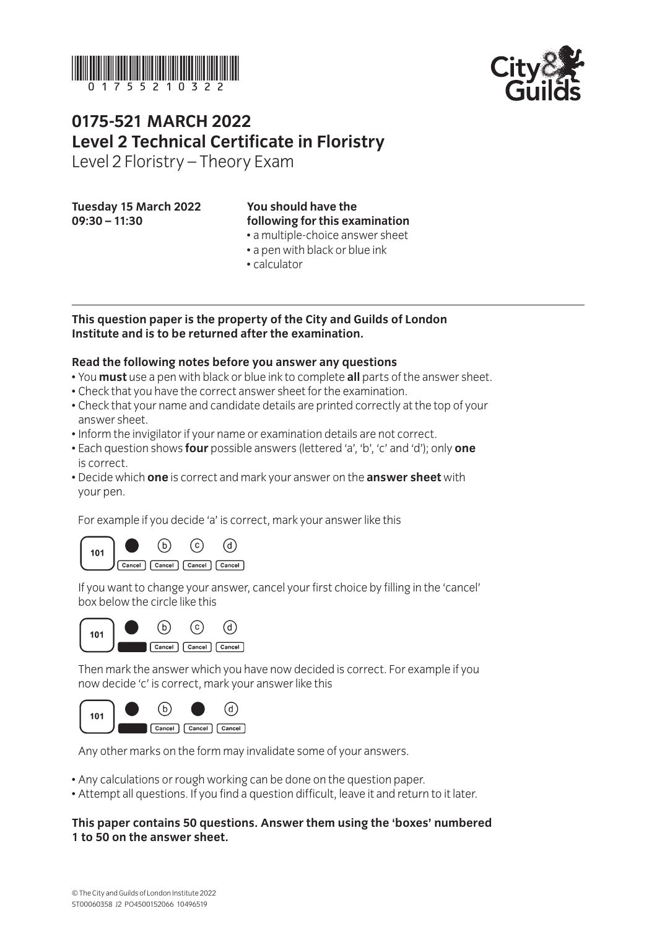



# **0175-521 March 2022 Level 2 Technical Certificate in Floristry**

Level 2 Floristry – Theory Exam

#### **Tuesday 15 March 2022 09:30 – 11:30**

# **You should have the following for this examination**

- a multiple-choice answer sheet
- a pen with black or blue ink
- calculator

#### **This question paper is the property of the City and Guilds of London Institute and is to be returned after the examination.**

#### **Read the following notes before you answer any questions**

- You **must** use a pen with black or blue ink to complete **all** parts of the answer sheet.
- Check that you have the correct answer sheet for the examination.
- Check that your name and candidate details are printed correctly at the top of your answer sheet.
- Inform the invigilator if your name or examination details are not correct.
- Each question shows **four** possible answers (lettered 'a', 'b', 'c' and 'd'); only **one** is correct.
- Decide which **one** is correct and mark your answer on the **answer sheet** with your pen.

For example if you decide 'a' is correct, mark your answer like this



If you want to change your answer, cancel your first choice by filling in the 'cancel' box below the circle like this



Then mark the answer which you have now decided is correct. For example if you now decide 'c' is correct, mark your answer like this



Any other marks on the form may invalidate some of your answers.

- Any calculations or rough working can be done on the question paper.
- Attempt all questions. If you find a question difficult, leave it and return to it later.

#### **This paper contains 50 questions. Answer them using the 'boxes' numbered 1 to 50 on the answer sheet.**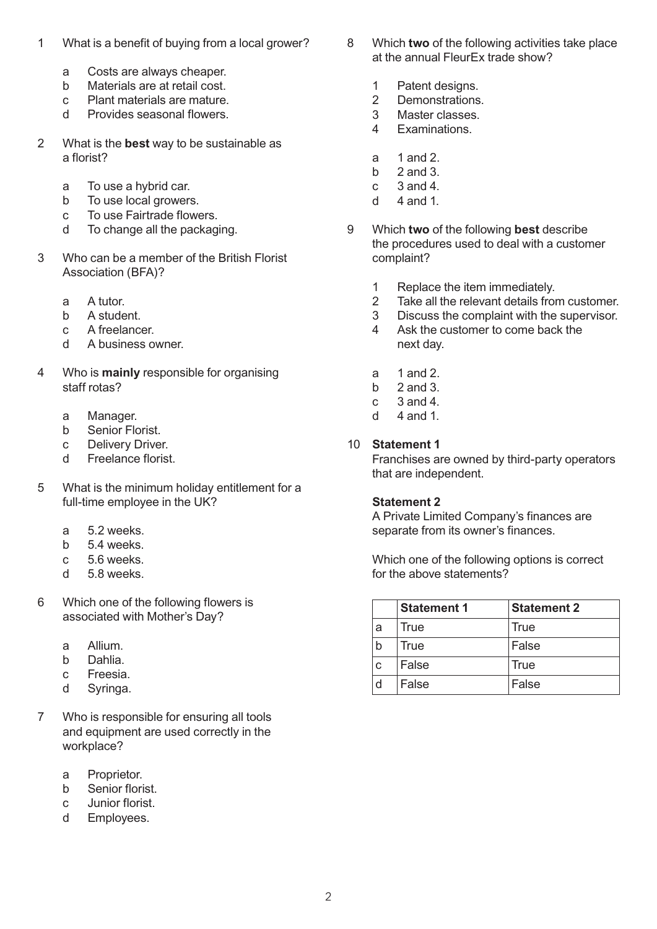- 1 What is a benefit of buying from a local grower?
	- a Costs are always cheaper.
	- b Materials are at retail cost.
	- c Plant materials are mature.
	- d Provides seasonal flowers.
- 2 What is the **best** way to be sustainable as a florist?
	- a To use a hybrid car.
	- b To use local growers.
	- c To use Fairtrade flowers.
	- d To change all the packaging.
- 3 Who can be a member of the British Florist Association (BFA)?
	- a A tutor.
	- b A student.
	- c A freelancer.
	- d A business owner.
- 4 Who is **mainly** responsible for organising staff rotas?
	- a Manager.
	- b Senior Florist.
	- c Delivery Driver.
	- d Freelance florist.
- 5 What is the minimum holiday entitlement for a full-time employee in the UK?
	- a 5.2 weeks.
	- b 5.4 weeks.
	- c 5.6 weeks.
	- d 5.8 weeks.
- 6 Which one of the following flowers is associated with Mother's Day?
	- a Allium.
	- b Dahlia.
	- c Freesia.
	- d Syringa.
- 7 Who is responsible for ensuring all tools and equipment are used correctly in the workplace?
	- a Proprietor.
	- b Senior florist.
	- c Junior florist.
	- d Employees.
- 8 Which **two** of the following activities take place at the annual FleurEx trade show?
	- 1 Patent designs.
	- 2 Demonstrations.
	- 3 Master classes.
	- 4 Examinations.
	- a 1 and 2.
	- b  $2$  and  $3$
	- $c = 3$  and 4.
	- d  $4$  and 1
- 9 Which **two** of the following **best** describe the procedures used to deal with a customer complaint?
	- 1 Replace the item immediately.
	- 2 Take all the relevant details from customer.
	- 3 Discuss the complaint with the supervisor.
	- 4 Ask the customer to come back the next day.
	- a 1 and 2.
	- b  $2$  and  $3$ .
	- c 3 and 4.
	- d  $4$  and 1

#### 10 **Statement 1**

Franchises are owned by third-party operators that are independent.

#### **Statement 2**

A Private Limited Company's finances are separate from its owner's finances.

Which one of the following options is correct for the above statements?

|   | <b>Statement 1</b> | <b>Statement 2</b> |
|---|--------------------|--------------------|
| a | True               | True               |
|   | True               | False              |
|   | False              | True               |
| d | False              | False              |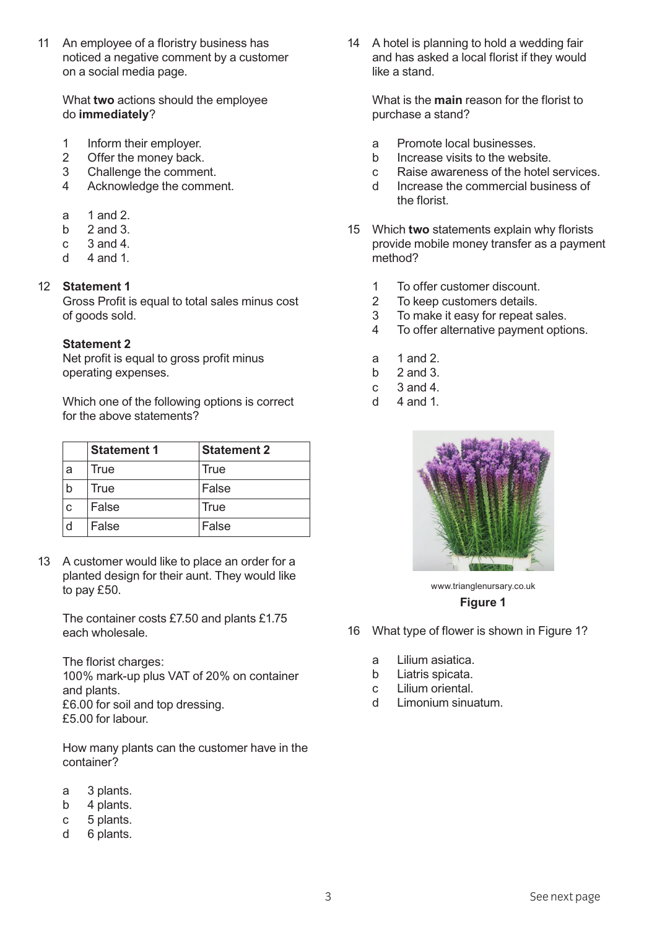11 An employee of a floristry business has noticed a negative comment by a customer on a social media page.

What **two** actions should the employee do **immediately**?

- 1 Inform their employer.
- 2 Offer the money back.
- 3 Challenge the comment.
- 4 Acknowledge the comment.
- a 1 and 2.
- b  $2$  and  $3$ .
- $c \quad 3$  and 4.
- d  $4$  and 1

### 12 **Statement 1**

Gross Profit is equal to total sales minus cost of goods sold.

#### **Statement 2**

Net profit is equal to gross profit minus operating expenses.

Which one of the following options is correct for the above statements?

|   | <b>Statement 1</b> | <b>Statement 2</b> |
|---|--------------------|--------------------|
| a | True               | True               |
| b | True               | False              |
| C | False              | True               |
| d | False              | False              |

13 A customer would like to place an order for a planted design for their aunt. They would like to pay £50.

The container costs £7.50 and plants £1.75 each wholesale.

The florist charges: 100% mark-up plus VAT of 20% on container and plants. £6.00 for soil and top dressing. £5.00 for labour.

How many plants can the customer have in the container?

- a 3 plants.
- b 4 plants.
- c 5 plants.
- d 6 plants.

14 A hotel is planning to hold a wedding fair and has asked a local florist if they would like a stand.

What is the **main** reason for the florist to purchase a stand?

- a Promote local businesses.
- b Increase visits to the website.
- c Raise awareness of the hotel services.
- d Increase the commercial business of the florist.
- 15 Which **two** statements explain why florists provide mobile money transfer as a payment method?
	- 1 To offer customer discount.
	- 2 To keep customers details.
	- 3 To make it easy for repeat sales.
	- 4 To offer alternative payment options.
	- a 1 and 2.
	- b  $2$  and  $3$
	- $c = 3$  and 4.
	- $d = 4$  and 1.



www.trianglenursary.co.uk **Figure 1**

- 16 What type of flower is shown in Figure 1?
	- a Lilium asiatica.
	- b Liatris spicata.
	- c Lilium oriental.
	- d Limonium sinuatum.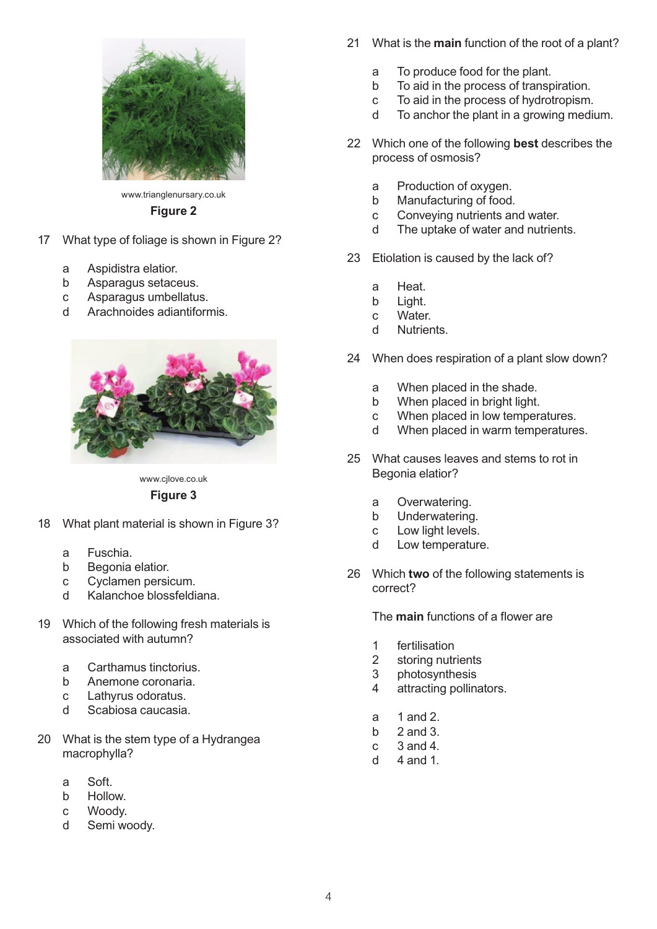

www.trianglenursary.co.uk

#### **Figure 2**

- 17 What type of foliage is shown in Figure 2?
	- a Aspidistra elatior.
	- b Asparagus setaceus.
	- c Asparagus umbellatus.
	- d Arachnoides adiantiformis.



www.cjlove.co.uk

### **Figure 3**

- 18 What plant material is shown in Figure 3?
	- a Fuschia.
	- b Begonia elatior.
	- c Cyclamen persicum.
	- d Kalanchoe blossfeldiana.
- 19 Which of the following fresh materials is associated with autumn?
	- a Carthamus tinctorius.
	- b Anemone coronaria.
	- c Lathyrus odoratus.
	- d Scabiosa caucasia.
- 20 What is the stem type of a Hydrangea macrophylla?
	- a Soft.
	- b Hollow.
	- c Woody.
	- d Semi woody.
- 21 What is the **main** function of the root of a plant?
	- a To produce food for the plant.
	- b To aid in the process of transpiration.
	- c To aid in the process of hydrotropism.
	- d To anchor the plant in a growing medium.
- 22 Which one of the following **best** describes the process of osmosis?
	- a Production of oxygen.
	- b Manufacturing of food.
	- c Conveying nutrients and water.
	- d The uptake of water and nutrients.
- 23 Etiolation is caused by the lack of?
	- a Heat.
	- b Light.
	- c Water.
	- d Nutrients.
- 24 When does respiration of a plant slow down?
	- a When placed in the shade.
	- b When placed in bright light.
	- c When placed in low temperatures.
	- d When placed in warm temperatures.
- 25 What causes leaves and stems to rot in Begonia elatior?
	- a Overwatering.
	- b Underwatering.
	- c Low light levels.
	- d Low temperature.
- 26 Which **two** of the following statements is correct?

The **main** functions of a flower are

- 1 fertilisation
- 2 storing nutrients
- 3 photosynthesis
- 4 attracting pollinators.
- a 1 and 2.
- b  $2$  and  $3$ .
- c 3 and 4.
- d  $4$  and 1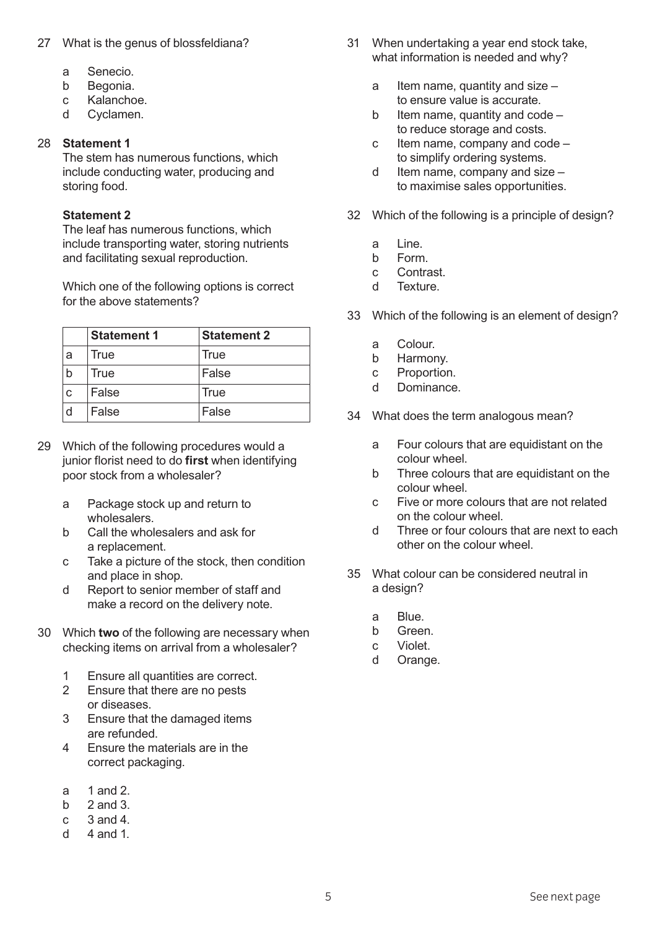### 27 What is the genus of blossfeldiana?

- a Senecio.
- b Begonia.
- c Kalanchoe.
- d Cyclamen.

#### 28 **Statement 1**

The stem has numerous functions, which include conducting water, producing and storing food.

#### **Statement 2**

The leaf has numerous functions, which include transporting water, storing nutrients and facilitating sexual reproduction.

Which one of the following options is correct for the above statements?

|              | <b>Statement 1</b> | <b>Statement 2</b> |
|--------------|--------------------|--------------------|
| a            | True               | <b>True</b>        |
| b            | True               | False              |
| $\mathbf{C}$ | False              | <b>True</b>        |
| d            | False              | False              |

- 29 Which of the following procedures would a junior florist need to do **first** when identifying poor stock from a wholesaler?
	- a Package stock up and return to wholesalers.
	- b Call the wholesalers and ask for a replacement.
	- c Take a picture of the stock, then condition and place in shop.
	- d Report to senior member of staff and make a record on the delivery note.
- 30 Which **two** of the following are necessary when checking items on arrival from a wholesaler?
	- 1 Ensure all quantities are correct.
	- 2 Ensure that there are no pests or diseases.
	- 3 Ensure that the damaged items are refunded.
	- 4 Ensure the materials are in the correct packaging.
	- a  $1$  and  $2$
	- b  $2$  and  $3$ .
	- c 3 and 4.
	- d  $4$  and 1
- 31 When undertaking a year end stock take, what information is needed and why?
	- a Item name, quantity and size  $$ to ensure value is accurate.
	- b Item name, quantity and  $code$ to reduce storage and costs.
	- c Item name, company and code to simplify ordering systems.
	- d Item name, company and size  $$ to maximise sales opportunities.
- 32 Which of the following is a principle of design?
	- a Line.
	- b Form.
	- c Contrast.
	- d Texture.
- 33 Which of the following is an element of design?
	- a Colour.
	- b Harmony.
	- c Proportion.
	- d Dominance.
- 34 What does the term analogous mean?
	- a Four colours that are equidistant on the colour wheel.
	- b Three colours that are equidistant on the colour wheel.
	- c Five or more colours that are not related on the colour wheel.
	- d Three or four colours that are next to each other on the colour wheel.
- 35 What colour can be considered neutral in a design?
	- a Blue.
	- b Green.
	- c Violet.
	- d Orange.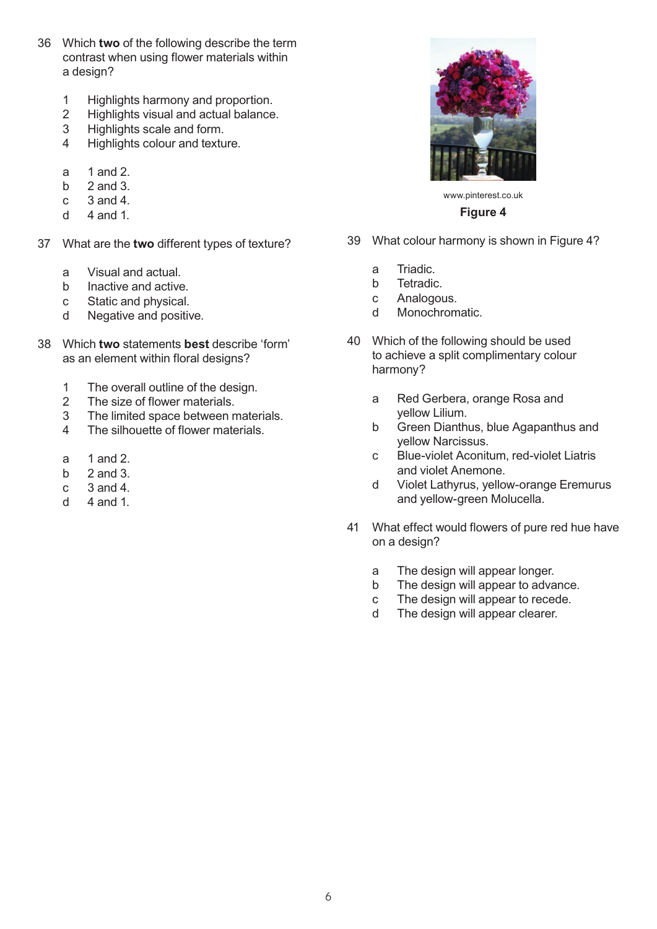- 36 Which **two** of the following describe the term contrast when using flower materials within a design?
	- 1 Highlights harmony and proportion.
	- 2 Highlights visual and actual balance.
	- 3 Highlights scale and form.
	- 4 Highlights colour and texture.
	- a 1 and 2.
	- b  $2$  and  $3$ .
	- c 3 and 4.
	- d  $4$  and 1.
- 37 What are the **two** different types of texture?
	- a Visual and actual.
	- b Inactive and active.
	- c Static and physical.
	- d Negative and positive.
- 38 Which **two** statements **best** describe 'form' as an element within floral designs?
	- 1 The overall outline of the design.
	- 2 The size of flower materials.
	- 3 The limited space between materials.
	- 4 The silhouette of flower materials.
	- a  $1$  and  $2$
	- b  $2$  and  $3$ .
	- c 3 and 4.
	- d  $4$  and 1.



www.pinterest.co.uk **Figure 4**

- 39 What colour harmony is shown in Figure 4?
	- a Triadic.
	- b Tetradic.
	- c Analogous.
	- d Monochromatic.
- 40 Which of the following should be used to achieve a split complimentary colour harmony?
	- a Red Gerbera, orange Rosa and yellow Lilium.
	- b Green Dianthus, blue Agapanthus and yellow Narcissus.
	- c Blue-violet Aconitum, red-violet Liatris and violet Anemone.
	- d Violet Lathyrus, yellow-orange Eremurus and yellow-green Molucella.
- 41 What effect would flowers of pure red hue have on a design?
	- a The design will appear longer.
	- b The design will appear to advance.
	- c The design will appear to recede.
	- d The design will appear clearer.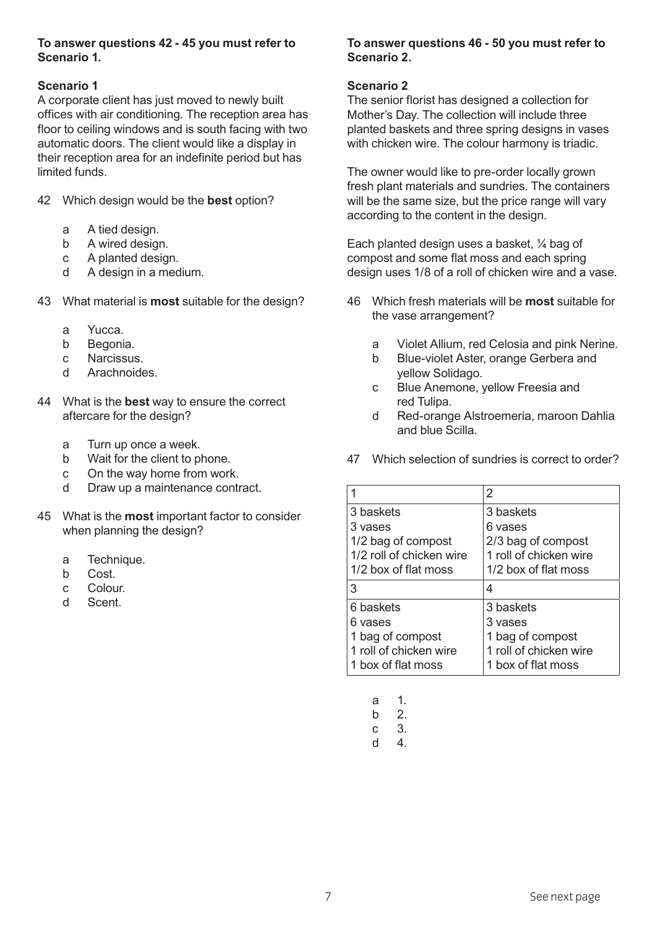#### **To answer questions 42 - 45 you must refer to Scenario 1.**

## **Scenario 1**

A corporate client has just moved to newly built offices with air conditioning. The reception area has floor to ceiling windows and is south facing with two automatic doors. The client would like a display in their reception area for an indefinite period but has limited funds.

- 42 Which design would be the **best** option?
	- a A tied design.
	- b A wired design.
	- c A planted design.
	- d A design in a medium.
- 43 What material is **most** suitable for the design?
	- a Yucca.
	- b Begonia.
	- c Narcissus.
	- d Arachnoides.
- 44 What is the **best** way to ensure the correct aftercare for the design?
	- a Turn up once a week.
	- b Wait for the client to phone.
	- c On the way home from work.
	- d Draw up a maintenance contract.
- 45 What is the **most** important factor to consider when planning the design?
	- a Technique.
	- b Cost.
	- c Colour.
	- d Scent.

## **To answer questions 46 - 50 you must refer to Scenario 2.**

#### **Scenario 2**

The senior florist has designed a collection for Mother's Day. The collection will include three planted baskets and three spring designs in vases with chicken wire. The colour harmony is triadic.

The owner would like to pre-order locally grown fresh plant materials and sundries. The containers will be the same size, but the price range will vary according to the content in the design.

Each planted design uses a basket, ¼ bag of compost and some flat moss and each spring design uses 1/8 of a roll of chicken wire and a vase.

- 46 Which fresh materials will be **most** suitable for the vase arrangement?
	- a Violet Allium, red Celosia and pink Nerine.
	- b Blue-violet Aster, orange Gerbera and yellow Solidago.
	- c Blue Anemone, yellow Freesia and red Tulipa.
	- d Red-orange Alstroemeria, maroon Dahlia and blue Scilla.
- 47 Which selection of sundries is correct to order?

|                          | 2                      |
|--------------------------|------------------------|
| 3 baskets                | 3 baskets              |
| 3 vases                  | 6 vases                |
| 1/2 bag of compost       | 2/3 bag of compost     |
| 1/2 roll of chicken wire | 1 roll of chicken wire |
| 1/2 box of flat moss     | 1/2 box of flat moss   |
| 3                        | 4                      |
| 6 baskets                | 3 baskets              |
| 6 vases                  | 3 vases                |
| 1 bag of compost         | 1 bag of compost       |
| 1 roll of chicken wire   | 1 roll of chicken wire |
| 1 box of flat moss       | 1 box of flat moss     |

- a 1.
- b 2.
- c 3.
- d 4.